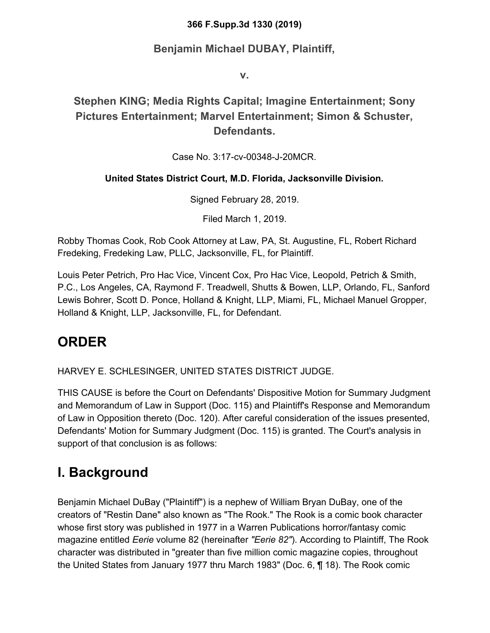#### **366 F.Supp.3d 1330 (2019)**

#### **Benjamin Michael DUBAY, Plaintiff,**

**v.**

#### **Stephen KING; Media Rights Capital; Imagine Entertainment; Sony Pictures Entertainment; Marvel Entertainment; Simon & Schuster, Defendants.**

#### Case No. 3:17-cv-00348-J-20MCR.

#### **United States District Court, M.D. Florida, Jacksonville Division.**

Signed February 28, 2019.

Filed March 1, 2019.

Robby Thomas Cook, Rob Cook Attorney at Law, PA, St. Augustine, FL, Robert Richard Fredeking, Fredeking Law, PLLC, Jacksonville, FL, for Plaintiff.

Louis Peter Petrich, Pro Hac Vice, Vincent Cox, Pro Hac Vice, Leopold, Petrich & Smith, P.C., Los Angeles, CA, Raymond F. Treadwell, Shutts & Bowen, LLP, Orlando, FL, Sanford Lewis Bohrer, Scott D. Ponce, Holland & Knight, LLP, Miami, FL, Michael Manuel Gropper, Holland & Knight, LLP, Jacksonville, FL, for Defendant.

#### **ORDER**

HARVEY E. SCHLESINGER, UNITED STATES DISTRICT JUDGE.

THIS CAUSE is before the Court on Defendants' Dispositive Motion for Summary Judgment and Memorandum of Law in Support (Doc. 115) and Plaintiff's Response and Memorandum of Law in Opposition thereto (Doc. 120). After careful consideration of the issues presented, Defendants' Motion for Summary Judgment (Doc. 115) is granted. The Court's analysis in support of that conclusion is as follows:

## **I. Background**

Benjamin Michael DuBay ("Plaintiff") is a nephew of William Bryan DuBay, one of the creators of "Restin Dane" also known as "The Rook." The Rook is a comic book character whose first story was published in 1977 in a Warren Publications horror/fantasy comic magazine entitled *Eerie* volume 82 (hereinafter *"Eerie 82"*). According to Plaintiff, The Rook character was distributed in "greater than five million comic magazine copies, throughout the United States from January 1977 thru March 1983" (Doc. 6, ¶ 18). The Rook comic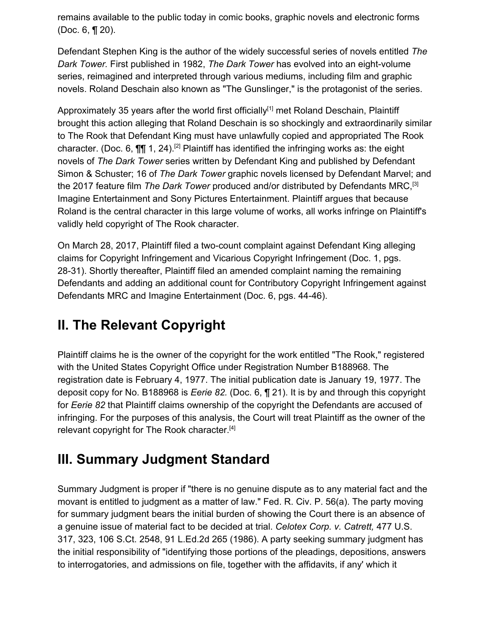remains available to the public today in comic books, graphic novels and electronic forms (Doc. 6, ¶ 20).

Defendant Stephen King is the author of the widely successful series of novels entitled *The Dark Tower.* First published in 1982, *The Dark Tower* has evolved into an eight-volume series, reimagined and interpreted through various mediums, including film and graphic novels. Roland Deschain also known as "The Gunslinger," is the protagonist of the series.

Approximately 35 years after the world first officially<sup>[1]</sup> met Roland Deschain, Plaintiff brought this action alleging that Roland Deschain is so shockingly and extraordinarily similar to The Rook that Defendant King must have unlawfully copied and appropriated The Rook character. (Doc. 6,  $\P\P$  1, 24).<sup>[2]</sup> Plaintiff has identified the infringing works as: the eight novels of *The Dark Tower* series written by Defendant King and published by Defendant Simon & Schuster; 16 of *The Dark Tower* graphic novels licensed by Defendant Marvel; and the 2017 feature film *The Dark Tower* produced and/or distributed by Defendants MRC,[3] Imagine Entertainment and Sony Pictures Entertainment. Plaintiff argues that because Roland is the central character in this large volume of works, all works infringe on Plaintiff's validly held copyright of The Rook character.

On March 28, 2017, Plaintiff filed a two-count complaint against Defendant King alleging claims for Copyright Infringement and Vicarious Copyright Infringement (Doc. 1, pgs. 28-31). Shortly thereafter, Plaintiff filed an amended complaint naming the remaining Defendants and adding an additional count for Contributory Copyright Infringement against Defendants MRC and Imagine Entertainment (Doc. 6, pgs. 44-46).

#### **II. The Relevant Copyright**

Plaintiff claims he is the owner of the copyright for the work entitled "The Rook," registered with the United States Copyright Office under Registration Number B188968. The registration date is February 4, 1977. The initial publication date is January 19, 1977. The deposit copy for No. B188968 is *Eerie 82.* (Doc. 6, ¶ 21). It is by and through this copyright for *Eerie 82* that Plaintiff claims ownership of the copyright the Defendants are accused of infringing. For the purposes of this analysis, the Court will treat Plaintiff as the owner of the relevant copyright for The Rook character.<sup>[4]</sup>

#### **III. Summary Judgment Standard**

Summary Judgment is proper if "there is no genuine dispute as to any material fact and the movant is entitled to judgment as a matter of law." Fed. R. Civ. P. 56(a). The party moving for summary judgment bears the initial burden of showing the Court there is an absence of a genuine issue of material fact to be decided at trial. *Celotex Corp. v. Catrett,* 477 U.S. 317, 323, 106 S.Ct. 2548, 91 L.Ed.2d 265 (1986). A party seeking summary judgment has the initial responsibility of "identifying those portions of the pleadings, depositions, answers to interrogatories, and admissions on file, together with the affidavits, if any' which it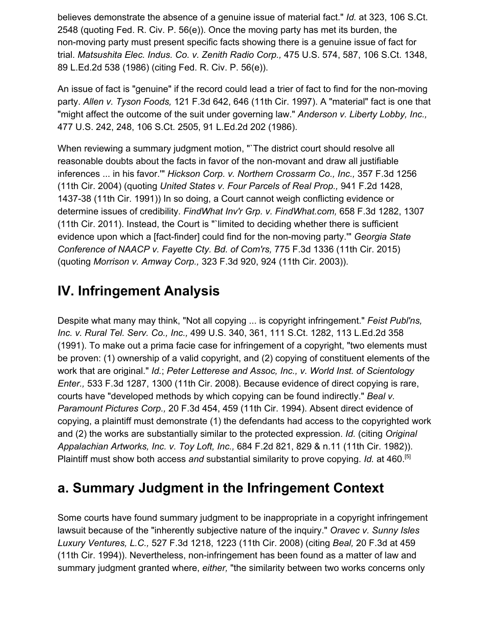believes demonstrate the absence of a genuine issue of material fact." *Id.* at 323, 106 S.Ct. 2548 (quoting Fed. R. Civ. P. 56(e)). Once the moving party has met its burden, the non-moving party must present specific facts showing there is a genuine issue of fact for trial. *Matsushita Elec. Indus. Co. v. Zenith Radio Corp.,* 475 U.S. 574, 587, 106 S.Ct. 1348, 89 L.Ed.2d 538 (1986) (citing Fed. R. Civ. P. 56(e)).

An issue of fact is "genuine" if the record could lead a trier of fact to find for the non-moving party. *Allen v. Tyson Foods,* 121 F.3d 642, 646 (11th Cir. 1997). A "material" fact is one that "might affect the outcome of the suit under governing law." *Anderson v. Liberty Lobby, Inc.,* 477 U.S. 242, 248, 106 S.Ct. 2505, 91 L.Ed.2d 202 (1986).

When reviewing a summary judgment motion, "`The district court should resolve all reasonable doubts about the facts in favor of the non-movant and draw all justifiable inferences ... in his favor.'" *Hickson Corp. v. Northern Crossarm Co., Inc.,* 357 F.3d 1256 (11th Cir. 2004) (quoting *United States v. Four Parcels of Real Prop.,* 941 F.2d 1428, 1437-38 (11th Cir. 1991)) In so doing, a Court cannot weigh conflicting evidence or determine issues of credibility. *FindWhat Inv'r Grp. v. FindWhat.com,* 658 F.3d 1282, 1307 (11th Cir. 2011). Instead, the Court is "`limited to deciding whether there is sufficient evidence upon which a [fact-finder] could find for the non-moving party.'" *Georgia State Conference of NAACP v. Fayette Cty. Bd. of Com'rs,* 775 F.3d 1336 (11th Cir. 2015) (quoting *Morrison v. Amway Corp.,* 323 F.3d 920, 924 (11th Cir. 2003)).

#### **IV. Infringement Analysis**

Despite what many may think, "Not all copying ... is copyright infringement." *Feist Publ'ns, Inc. v. Rural Tel. Serv. Co., Inc.,* 499 U.S. 340, 361, 111 S.Ct. 1282, 113 L.Ed.2d 358 (1991). To make out a prima facie case for infringement of a copyright, "two elements must be proven: (1) ownership of a valid copyright, and (2) copying of constituent elements of the work that are original." *Id.*; *Peter Letterese and Assoc, Inc., v. World Inst. of Scientology Enter.,* 533 F.3d 1287, 1300 (11th Cir. 2008). Because evidence of direct copying is rare, courts have "developed methods by which copying can be found indirectly." *Beal v. Paramount Pictures Corp.,* 20 F.3d 454, 459 (11th Cir. 1994). Absent direct evidence of copying, a plaintiff must demonstrate (1) the defendants had access to the copyrighted work and (2) the works are substantially similar to the protected expression. *Id.* (citing *Original Appalachian Artworks, Inc. v. Toy Loft, Inc.,* 684 F.2d 821, 829 & n.11 (11th Cir. 1982)). Plaintiff must show both access *and* substantial similarity to prove copying. *Id.* at 460.[5]

#### **a. Summary Judgment in the Infringement Context**

Some courts have found summary judgment to be inappropriate in a copyright infringement lawsuit because of the "inherently subjective nature of the inquiry." *Oravec v. Sunny Isles Luxury Ventures, L.C.,* 527 F.3d 1218, 1223 (11th Cir. 2008) (citing *Beal,* 20 F.3d at 459 (11th Cir. 1994)). Nevertheless, non-infringement has been found as a matter of law and summary judgment granted where, *either,* "the similarity between two works concerns only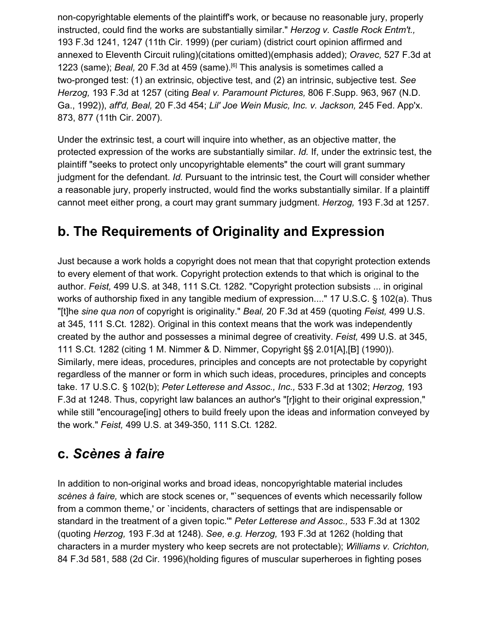non-copyrightable elements of the plaintiff's work, or because no reasonable jury, properly instructed, could find the works are substantially similar." *Herzog v. Castle Rock Entm't.,* 193 F.3d 1241, 1247 (11th Cir. 1999) (per curiam) (district court opinion affirmed and annexed to Eleventh Circuit ruling)(citations omitted)(emphasis added); *Oravec,* 527 F.3d at 1223 (same); *Beal,* 20 F.3d at 459 (same).[6] This analysis is sometimes called a two-pronged test: (1) an extrinsic, objective test, and (2) an intrinsic, subjective test. *See Herzog,* 193 F.3d at 1257 (citing *Beal v. Paramount Pictures,* 806 F.Supp. 963, 967 (N.D. Ga., 1992)), *aff'd, Beal,* 20 F.3d 454; *Lil' Joe Wein Music, Inc. v. Jackson,* 245 Fed. App'x. 873, 877 (11th Cir. 2007).

Under the extrinsic test, a court will inquire into whether, as an objective matter, the protected expression of the works are substantially similar. *Id.* If, under the extrinsic test, the plaintiff "seeks to protect only uncopyrightable elements" the court will grant summary judgment for the defendant. *Id.* Pursuant to the intrinsic test, the Court will consider whether a reasonable jury, properly instructed, would find the works substantially similar. If a plaintiff cannot meet either prong, a court may grant summary judgment. *Herzog,* 193 F.3d at 1257.

#### **b. The Requirements of Originality and Expression**

Just because a work holds a copyright does not mean that that copyright protection extends to every element of that work. Copyright protection extends to that which is original to the author. *Feist,* 499 U.S. at 348, 111 S.Ct. 1282. "Copyright protection subsists ... in original works of authorship fixed in any tangible medium of expression...." 17 U.S.C. § 102(a). Thus "[t]he *sine qua non* of copyright is originality." *Beal,* 20 F.3d at 459 (quoting *Feist,* 499 U.S. at 345, 111 S.Ct. 1282). Original in this context means that the work was independently created by the author and possesses a minimal degree of creativity. *Feist,* 499 U.S. at 345, 111 S.Ct. 1282 (citing 1 M. Nimmer & D. Nimmer, Copyright §§ 2.01[A],[B] (1990)). Similarly, mere ideas, procedures, principles and concepts are not protectable by copyright regardless of the manner or form in which such ideas, procedures, principles and concepts take. 17 U.S.C. § 102(b); *Peter Letterese and Assoc., Inc.,* 533 F.3d at 1302; *Herzog,* 193 F.3d at 1248. Thus, copyright law balances an author's "[r]ight to their original expression," while still "encourage[ing] others to build freely upon the ideas and information conveyed by the work." *Feist,* 499 U.S. at 349-350, 111 S.Ct. 1282.

#### **c.** *Scènes à faire*

In addition to non-original works and broad ideas, noncopyrightable material includes *scènes à faire,* which are stock scenes or, "`sequences of events which necessarily follow from a common theme,' or `incidents, characters of settings that are indispensable or standard in the treatment of a given topic.'" *Peter Letterese and Assoc.,* 533 F.3d at 1302 (quoting *Herzog,* 193 F.3d at 1248). *See, e.g. Herzog,* 193 F.3d at 1262 (holding that characters in a murder mystery who keep secrets are not protectable); *Williams v. Crichton,* 84 F.3d 581, 588 (2d Cir. 1996)(holding figures of muscular superheroes in fighting poses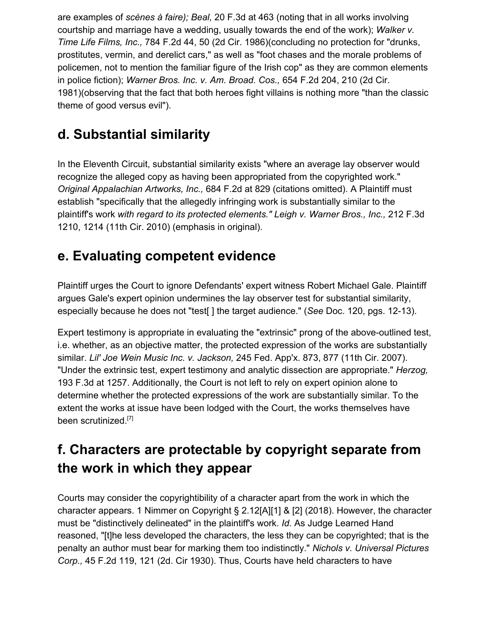are examples of *scènes à faire); Beal,* 20 F.3d at 463 (noting that in all works involving courtship and marriage have a wedding, usually towards the end of the work); *Walker v. Time Life Films, Inc.,* 784 F.2d 44, 50 (2d Cir. 1986)(concluding no protection for "drunks, prostitutes, vermin, and derelict cars," as well as "foot chases and the morale problems of policemen, not to mention the familiar figure of the Irish cop" as they are common elements in police fiction); *Warner Bros. Inc. v. Am. Broad. Cos.,* 654 F.2d 204, 210 (2d Cir. 1981)(observing that the fact that both heroes fight villains is nothing more "than the classic theme of good versus evil").

## **d. Substantial similarity**

In the Eleventh Circuit, substantial similarity exists "where an average lay observer would recognize the alleged copy as having been appropriated from the copyrighted work." *Original Appalachian Artworks, Inc.,* 684 F.2d at 829 (citations omitted). A Plaintiff must establish "specifically that the allegedly infringing work is substantially similar to the plaintiff's work *with regard to its protected elements." Leigh v. Warner Bros., Inc.,* 212 F.3d 1210, 1214 (11th Cir. 2010) (emphasis in original).

#### **e. Evaluating competent evidence**

Plaintiff urges the Court to ignore Defendants' expert witness Robert Michael Gale. Plaintiff argues Gale's expert opinion undermines the lay observer test for substantial similarity, especially because he does not "test[ ] the target audience." (*See* Doc. 120, pgs. 12-13).

Expert testimony is appropriate in evaluating the "extrinsic" prong of the above-outlined test, i.e. whether, as an objective matter, the protected expression of the works are substantially similar. *Lil' Joe Wein Music Inc. v. Jackson,* 245 Fed. App'x. 873, 877 (11th Cir. 2007). "Under the extrinsic test, expert testimony and analytic dissection are appropriate." *Herzog,* 193 F.3d at 1257. Additionally, the Court is not left to rely on expert opinion alone to determine whether the protected expressions of the work are substantially similar. To the extent the works at issue have been lodged with the Court, the works themselves have been scrutinized.[7]

## **f. Characters are protectable by copyright separate from the work in which they appear**

Courts may consider the copyrightibility of a character apart from the work in which the character appears. 1 Nimmer on Copyright § 2.12[A][1] & [2] (2018). However, the character must be "distinctively delineated" in the plaintiff's work. *Id.* As Judge Learned Hand reasoned, "[t]he less developed the characters, the less they can be copyrighted; that is the penalty an author must bear for marking them too indistinctly." *Nichols v. Universal Pictures Corp.,* 45 F.2d 119, 121 (2d. Cir 1930). Thus, Courts have held characters to have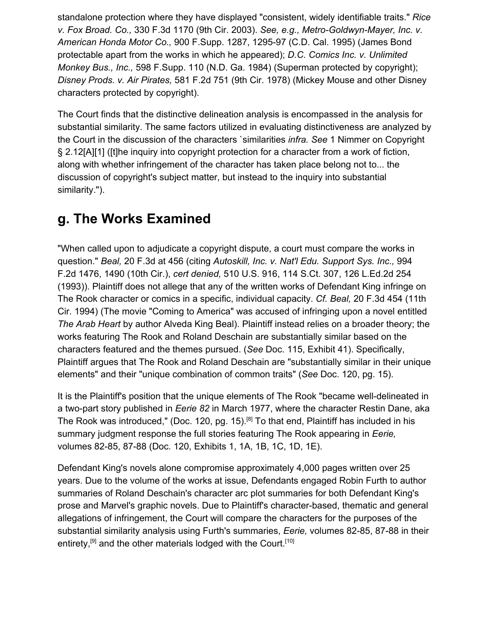standalone protection where they have displayed "consistent, widely identifiable traits." *Rice v. Fox Broad. Co.,* 330 F.3d 1170 (9th Cir. 2003). *See, e.g., Metro-Goldwyn-Mayer, Inc. v. American Honda Motor Co.,* 900 F.Supp. 1287, 1295-97 (C.D. Cal. 1995) (James Bond protectable apart from the works in which he appeared); *D.C. Comics Inc. v. Unlimited Monkey Bus., Inc.,* 598 F.Supp. 110 (N.D. Ga. 1984) (Superman protected by copyright); *Disney Prods. v. Air Pirates,* 581 F.2d 751 (9th Cir. 1978) (Mickey Mouse and other Disney characters protected by copyright).

The Court finds that the distinctive delineation analysis is encompassed in the analysis for substantial similarity. The same factors utilized in evaluating distinctiveness are analyzed by the Court in the discussion of the characters `similarities *infra. See* 1 Nimmer on Copyright § 2.12[A][1] ([t]he inquiry into copyright protection for a character from a work of fiction, along with whether infringement of the character has taken place belong not to... the discussion of copyright's subject matter, but instead to the inquiry into substantial similarity.").

#### **g. The Works Examined**

"When called upon to adjudicate a copyright dispute, a court must compare the works in question." *Beal,* 20 F.3d at 456 (citing *Autoskill, Inc. v. Nat'l Edu. Support Sys. Inc.,* 994 F.2d 1476, 1490 (10th Cir.), *cert denied,* 510 U.S. 916, 114 S.Ct. 307, 126 L.Ed.2d 254 (1993)). Plaintiff does not allege that any of the written works of Defendant King infringe on The Rook character or comics in a specific, individual capacity. *Cf. Beal,* 20 F.3d 454 (11th Cir. 1994) (The movie "Coming to America" was accused of infringing upon a novel entitled *The Arab Heart* by author Alveda King Beal). Plaintiff instead relies on a broader theory; the works featuring The Rook and Roland Deschain are substantially similar based on the characters featured and the themes pursued. (*See* Doc. 115, Exhibit 41). Specifically, Plaintiff argues that The Rook and Roland Deschain are "substantially similar in their unique elements" and their "unique combination of common traits" (*See* Doc. 120, pg. 15).

It is the Plaintiff's position that the unique elements of The Rook "became well-delineated in a two-part story published in *Eerie 82* in March 1977, where the character Restin Dane, aka The Rook was introduced," (Doc. 120, pg. 15).<sup>[8]</sup> To that end, Plaintiff has included in his summary judgment response the full stories featuring The Rook appearing in *Eerie,* volumes 82-85, 87-88 (Doc. 120, Exhibits 1, 1A, 1B, 1C, 1D, 1E).

Defendant King's novels alone compromise approximately 4,000 pages written over 25 years. Due to the volume of the works at issue, Defendants engaged Robin Furth to author summaries of Roland Deschain's character arc plot summaries for both Defendant King's prose and Marvel's graphic novels. Due to Plaintiff's character-based, thematic and general allegations of infringement, the Court will compare the characters for the purposes of the substantial similarity analysis using Furth's summaries, *Eerie,* volumes 82-85, 87-88 in their entirety,<sup>[9]</sup> and the other materials lodged with the Court.<sup>[10]</sup>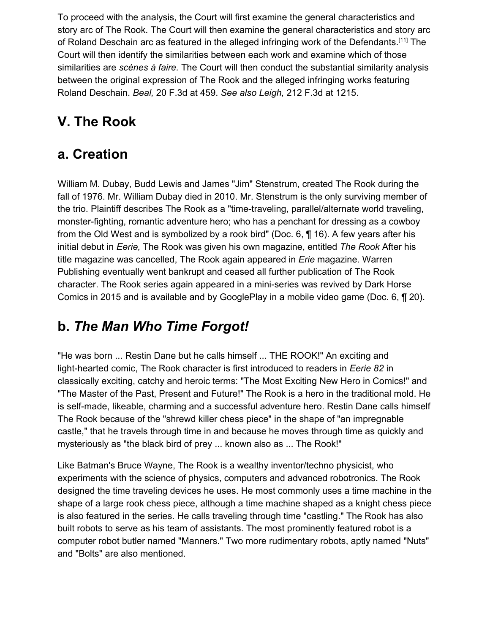To proceed with the analysis, the Court will first examine the general characteristics and story arc of The Rook. The Court will then examine the general characteristics and story arc of Roland Deschain arc as featured in the alleged infringing work of the Defendants.[11] The Court will then identify the similarities between each work and examine which of those similarities are *scènes à faire.* The Court will then conduct the substantial similarity analysis between the original expression of The Rook and the alleged infringing works featuring Roland Deschain. *Beal,* 20 F.3d at 459. *See also Leigh,* 212 F.3d at 1215.

# **V. The Rook**

#### **a. Creation**

William M. Dubay, Budd Lewis and James "Jim" Stenstrum, created The Rook during the fall of 1976. Mr. William Dubay died in 2010. Mr. Stenstrum is the only surviving member of the trio. Plaintiff describes The Rook as a "time-traveling, parallel/alternate world traveling, monster-fighting, romantic adventure hero; who has a penchant for dressing as a cowboy from the Old West and is symbolized by a rook bird" (Doc. 6, ¶ 16). A few years after his initial debut in *Eerie,* The Rook was given his own magazine, entitled *The Rook* After his title magazine was cancelled, The Rook again appeared in *Erie* magazine. Warren Publishing eventually went bankrupt and ceased all further publication of The Rook character. The Rook series again appeared in a mini-series was revived by Dark Horse Comics in 2015 and is available and by GooglePlay in a mobile video game (Doc. 6, ¶ 20).

#### **b.** *The Man Who Time Forgot!*

"He was born ... Restin Dane but he calls himself ... THE ROOK!" An exciting and light-hearted comic, The Rook character is first introduced to readers in *Eerie 82* in classically exciting, catchy and heroic terms: "The Most Exciting New Hero in Comics!" and "The Master of the Past, Present and Future!" The Rook is a hero in the traditional mold. He is self-made, likeable, charming and a successful adventure hero. Restin Dane calls himself The Rook because of the "shrewd killer chess piece" in the shape of "an impregnable castle," that he travels through time in and because he moves through time as quickly and mysteriously as "the black bird of prey ... known also as ... The Rook!"

Like Batman's Bruce Wayne, The Rook is a wealthy inventor/techno physicist, who experiments with the science of physics, computers and advanced robotronics. The Rook designed the time traveling devices he uses. He most commonly uses a time machine in the shape of a large rook chess piece, although a time machine shaped as a knight chess piece is also featured in the series. He calls traveling through time "castling." The Rook has also built robots to serve as his team of assistants. The most prominently featured robot is a computer robot butler named "Manners." Two more rudimentary robots, aptly named "Nuts" and "Bolts" are also mentioned.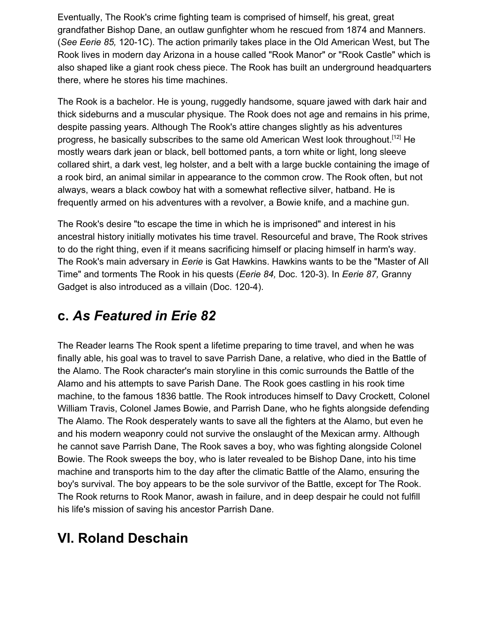Eventually, The Rook's crime fighting team is comprised of himself, his great, great grandfather Bishop Dane, an outlaw gunfighter whom he rescued from 1874 and Manners. (*See Eerie 85,* 120-1C). The action primarily takes place in the Old American West, but The Rook lives in modern day Arizona in a house called "Rook Manor" or "Rook Castle" which is also shaped like a giant rook chess piece. The Rook has built an underground headquarters there, where he stores his time machines.

The Rook is a bachelor. He is young, ruggedly handsome, square jawed with dark hair and thick sideburns and a muscular physique. The Rook does not age and remains in his prime, despite passing years. Although The Rook's attire changes slightly as his adventures progress, he basically subscribes to the same old American West look throughout.<sup>[12]</sup> He mostly wears dark jean or black, bell bottomed pants, a torn white or light, long sleeve collared shirt, a dark vest, leg holster, and a belt with a large buckle containing the image of a rook bird, an animal similar in appearance to the common crow. The Rook often, but not always, wears a black cowboy hat with a somewhat reflective silver, hatband. He is frequently armed on his adventures with a revolver, a Bowie knife, and a machine gun.

The Rook's desire "to escape the time in which he is imprisoned" and interest in his ancestral history initially motivates his time travel. Resourceful and brave, The Rook strives to do the right thing, even if it means sacrificing himself or placing himself in harm's way. The Rook's main adversary in *Eerie* is Gat Hawkins. Hawkins wants to be the "Master of All Time" and torments The Rook in his quests (*Eerie 84,* Doc. 120-3). In *Eerie 87,* Granny Gadget is also introduced as a villain (Doc. 120-4).

#### **c.** *As Featured in Erie 82*

The Reader learns The Rook spent a lifetime preparing to time travel, and when he was finally able, his goal was to travel to save Parrish Dane, a relative, who died in the Battle of the Alamo. The Rook character's main storyline in this comic surrounds the Battle of the Alamo and his attempts to save Parish Dane. The Rook goes castling in his rook time machine, to the famous 1836 battle. The Rook introduces himself to Davy Crockett, Colonel William Travis, Colonel James Bowie, and Parrish Dane, who he fights alongside defending The Alamo. The Rook desperately wants to save all the fighters at the Alamo, but even he and his modern weaponry could not survive the onslaught of the Mexican army. Although he cannot save Parrish Dane, The Rook saves a boy, who was fighting alongside Colonel Bowie. The Rook sweeps the boy, who is later revealed to be Bishop Dane, into his time machine and transports him to the day after the climatic Battle of the Alamo, ensuring the boy's survival. The boy appears to be the sole survivor of the Battle, except for The Rook. The Rook returns to Rook Manor, awash in failure, and in deep despair he could not fulfill his life's mission of saving his ancestor Parrish Dane.

#### **VI. Roland Deschain**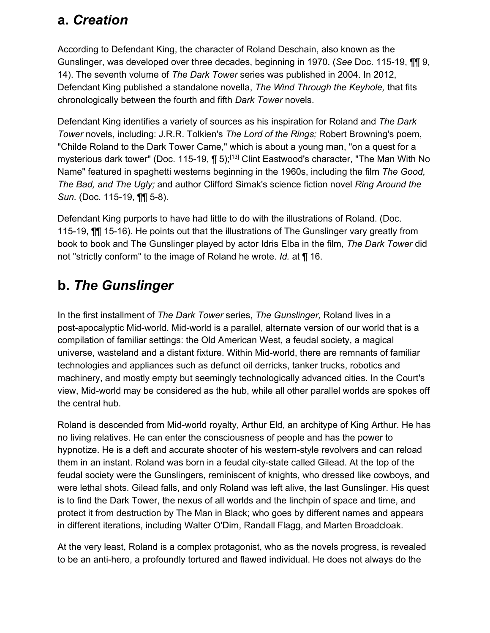#### **a.** *Creation*

According to Defendant King, the character of Roland Deschain, also known as the Gunslinger, was developed over three decades, beginning in 1970. (*See* Doc. 115-19, ¶¶ 9, 14). The seventh volume of *The Dark Tower* series was published in 2004. In 2012, Defendant King published a standalone novella, *The Wind Through the Keyhole,* that fits chronologically between the fourth and fifth *Dark Tower* novels.

Defendant King identifies a variety of sources as his inspiration for Roland and *The Dark Tower* novels, including: J.R.R. Tolkien's *The Lord of the Rings;* Robert Browning's poem, "Childe Roland to the Dark Tower Came," which is about a young man, "on a quest for a mysterious dark tower" (Doc. 115-19, ¶ 5);<sup>[13]</sup> Clint Eastwood's character, "The Man With No Name" featured in spaghetti westerns beginning in the 1960s, including the film *The Good, The Bad, and The Ugly;* and author Clifford Simak's science fiction novel *Ring Around the Sun.* (Doc. 115-19, ¶¶ 5-8).

Defendant King purports to have had little to do with the illustrations of Roland. (Doc. 115-19, ¶¶ 15-16). He points out that the illustrations of The Gunslinger vary greatly from book to book and The Gunslinger played by actor Idris Elba in the film, *The Dark Tower* did not "strictly conform" to the image of Roland he wrote. *Id.* at ¶ 16.

## **b.** *The Gunslinger*

In the first installment of *The Dark Tower* series, *The Gunslinger,* Roland lives in a post-apocalyptic Mid-world. Mid-world is a parallel, alternate version of our world that is a compilation of familiar settings: the Old American West, a feudal society, a magical universe, wasteland and a distant fixture. Within Mid-world, there are remnants of familiar technologies and appliances such as defunct oil derricks, tanker trucks, robotics and machinery, and mostly empty but seemingly technologically advanced cities. In the Court's view, Mid-world may be considered as the hub, while all other parallel worlds are spokes off the central hub.

Roland is descended from Mid-world royalty, Arthur Eld, an architype of King Arthur. He has no living relatives. He can enter the consciousness of people and has the power to hypnotize. He is a deft and accurate shooter of his western-style revolvers and can reload them in an instant. Roland was born in a feudal city-state called Gilead. At the top of the feudal society were the Gunslingers, reminiscent of knights, who dressed like cowboys, and were lethal shots. Gilead falls, and only Roland was left alive, the last Gunslinger. His quest is to find the Dark Tower, the nexus of all worlds and the linchpin of space and time, and protect it from destruction by The Man in Black; who goes by different names and appears in different iterations, including Walter O'Dim, Randall Flagg, and Marten Broadcloak.

At the very least, Roland is a complex protagonist, who as the novels progress, is revealed to be an anti-hero, a profoundly tortured and flawed individual. He does not always do the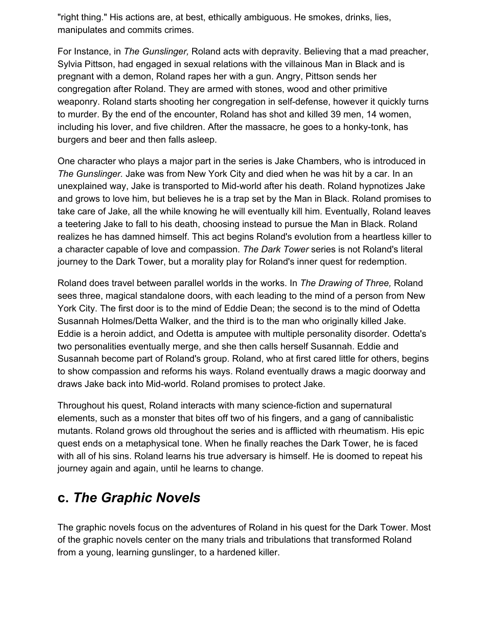"right thing." His actions are, at best, ethically ambiguous. He smokes, drinks, lies, manipulates and commits crimes.

For Instance, in *The Gunslinger,* Roland acts with depravity. Believing that a mad preacher, Sylvia Pittson, had engaged in sexual relations with the villainous Man in Black and is pregnant with a demon, Roland rapes her with a gun. Angry, Pittson sends her congregation after Roland. They are armed with stones, wood and other primitive weaponry. Roland starts shooting her congregation in self-defense, however it quickly turns to murder. By the end of the encounter, Roland has shot and killed 39 men, 14 women, including his lover, and five children. After the massacre, he goes to a honky-tonk, has burgers and beer and then falls asleep.

One character who plays a major part in the series is Jake Chambers, who is introduced in *The Gunslinger.* Jake was from New York City and died when he was hit by a car. In an unexplained way, Jake is transported to Mid-world after his death. Roland hypnotizes Jake and grows to love him, but believes he is a trap set by the Man in Black. Roland promises to take care of Jake, all the while knowing he will eventually kill him. Eventually, Roland leaves a teetering Jake to fall to his death, choosing instead to pursue the Man in Black. Roland realizes he has damned himself. This act begins Roland's evolution from a heartless killer to a character capable of love and compassion. *The Dark Tower* series is not Roland's literal journey to the Dark Tower, but a morality play for Roland's inner quest for redemption.

Roland does travel between parallel worlds in the works. In *The Drawing of Three,* Roland sees three, magical standalone doors, with each leading to the mind of a person from New York City. The first door is to the mind of Eddie Dean; the second is to the mind of Odetta Susannah Holmes/Detta Walker, and the third is to the man who originally killed Jake. Eddie is a heroin addict, and Odetta is amputee with multiple personality disorder. Odetta's two personalities eventually merge, and she then calls herself Susannah. Eddie and Susannah become part of Roland's group. Roland, who at first cared little for others, begins to show compassion and reforms his ways. Roland eventually draws a magic doorway and draws Jake back into Mid-world. Roland promises to protect Jake.

Throughout his quest, Roland interacts with many science-fiction and supernatural elements, such as a monster that bites off two of his fingers, and a gang of cannibalistic mutants. Roland grows old throughout the series and is afflicted with rheumatism. His epic quest ends on a metaphysical tone. When he finally reaches the Dark Tower, he is faced with all of his sins. Roland learns his true adversary is himself. He is doomed to repeat his journey again and again, until he learns to change.

#### **c.** *The Graphic Novels*

The graphic novels focus on the adventures of Roland in his quest for the Dark Tower. Most of the graphic novels center on the many trials and tribulations that transformed Roland from a young, learning gunslinger, to a hardened killer.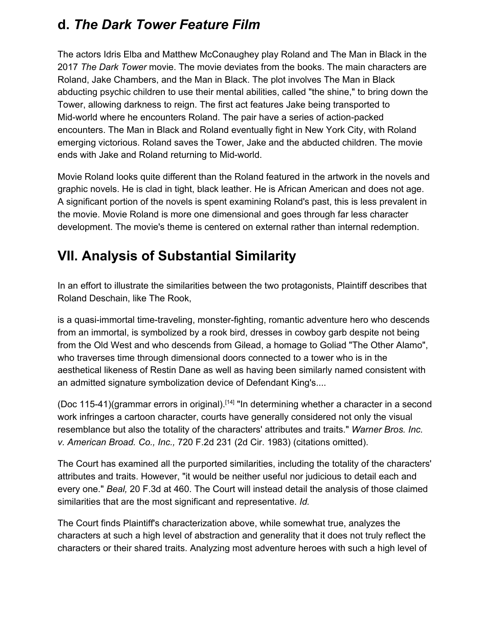#### **d.** *The Dark Tower Feature Film*

The actors Idris Elba and Matthew McConaughey play Roland and The Man in Black in the 2017 *The Dark Tower* movie. The movie deviates from the books. The main characters are Roland, Jake Chambers, and the Man in Black. The plot involves The Man in Black abducting psychic children to use their mental abilities, called "the shine," to bring down the Tower, allowing darkness to reign. The first act features Jake being transported to Mid-world where he encounters Roland. The pair have a series of action-packed encounters. The Man in Black and Roland eventually fight in New York City, with Roland emerging victorious. Roland saves the Tower, Jake and the abducted children. The movie ends with Jake and Roland returning to Mid-world.

Movie Roland looks quite different than the Roland featured in the artwork in the novels and graphic novels. He is clad in tight, black leather. He is African American and does not age. A significant portion of the novels is spent examining Roland's past, this is less prevalent in the movie. Movie Roland is more one dimensional and goes through far less character development. The movie's theme is centered on external rather than internal redemption.

#### **VII. Analysis of Substantial Similarity**

In an effort to illustrate the similarities between the two protagonists, Plaintiff describes that Roland Deschain, like The Rook,

is a quasi-immortal time-traveling, monster-fighting, romantic adventure hero who descends from an immortal, is symbolized by a rook bird, dresses in cowboy garb despite not being from the Old West and who descends from Gilead, a homage to Goliad "The Other Alamo", who traverses time through dimensional doors connected to a tower who is in the aesthetical likeness of Restin Dane as well as having been similarly named consistent with an admitted signature symbolization device of Defendant King's....

(Doc 115-41)(grammar errors in original).<sup>[14]</sup> "In determining whether a character in a second work infringes a cartoon character, courts have generally considered not only the visual resemblance but also the totality of the characters' attributes and traits." *Warner Bros. Inc. v. American Broad. Co., Inc.,* 720 F.2d 231 (2d Cir. 1983) (citations omitted).

The Court has examined all the purported similarities, including the totality of the characters' attributes and traits. However, "it would be neither useful nor judicious to detail each and every one." *Beal,* 20 F.3d at 460. The Court will instead detail the analysis of those claimed similarities that are the most significant and representative. *Id.*

The Court finds Plaintiff's characterization above, while somewhat true, analyzes the characters at such a high level of abstraction and generality that it does not truly reflect the characters or their shared traits. Analyzing most adventure heroes with such a high level of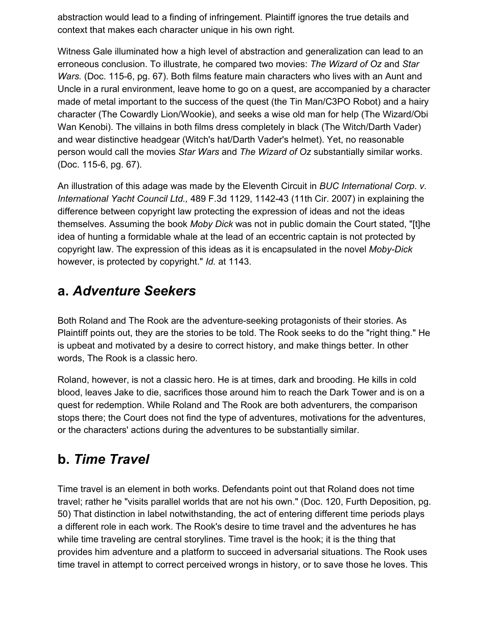abstraction would lead to a finding of infringement. Plaintiff ignores the true details and context that makes each character unique in his own right.

Witness Gale illuminated how a high level of abstraction and generalization can lead to an erroneous conclusion. To illustrate, he compared two movies: *The Wizard of Oz* and *Star Wars.* (Doc. 115-6, pg. 67). Both films feature main characters who lives with an Aunt and Uncle in a rural environment, leave home to go on a quest, are accompanied by a character made of metal important to the success of the quest (the Tin Man/C3PO Robot) and a hairy character (The Cowardly Lion/Wookie), and seeks a wise old man for help (The Wizard/Obi Wan Kenobi). The villains in both films dress completely in black (The Witch/Darth Vader) and wear distinctive headgear (Witch's hat/Darth Vader's helmet). Yet, no reasonable person would call the movies *Star Wars* and *The Wizard of Oz* substantially similar works. (Doc. 115-6, pg. 67).

An illustration of this adage was made by the Eleventh Circuit in *BUC International Corp. v. International Yacht Council Ltd.,* 489 F.3d 1129, 1142-43 (11th Cir. 2007) in explaining the difference between copyright law protecting the expression of ideas and not the ideas themselves. Assuming the book *Moby Dick* was not in public domain the Court stated, "[t]he idea of hunting a formidable whale at the lead of an eccentric captain is not protected by copyright law. The expression of this ideas as it is encapsulated in the novel *Moby-Dick* however, is protected by copyright." *Id.* at 1143.

#### **a.** *Adventure Seekers*

Both Roland and The Rook are the adventure-seeking protagonists of their stories. As Plaintiff points out, they are the stories to be told. The Rook seeks to do the "right thing." He is upbeat and motivated by a desire to correct history, and make things better. In other words, The Rook is a classic hero.

Roland, however, is not a classic hero. He is at times, dark and brooding. He kills in cold blood, leaves Jake to die, sacrifices those around him to reach the Dark Tower and is on a quest for redemption. While Roland and The Rook are both adventurers, the comparison stops there; the Court does not find the type of adventures, motivations for the adventures, or the characters' actions during the adventures to be substantially similar.

#### **b.** *Time Travel*

Time travel is an element in both works. Defendants point out that Roland does not time travel; rather he "visits parallel worlds that are not his own." (Doc. 120, Furth Deposition, pg. 50) That distinction in label notwithstanding, the act of entering different time periods plays a different role in each work. The Rook's desire to time travel and the adventures he has while time traveling are central storylines. Time travel is the hook; it is the thing that provides him adventure and a platform to succeed in adversarial situations. The Rook uses time travel in attempt to correct perceived wrongs in history, or to save those he loves. This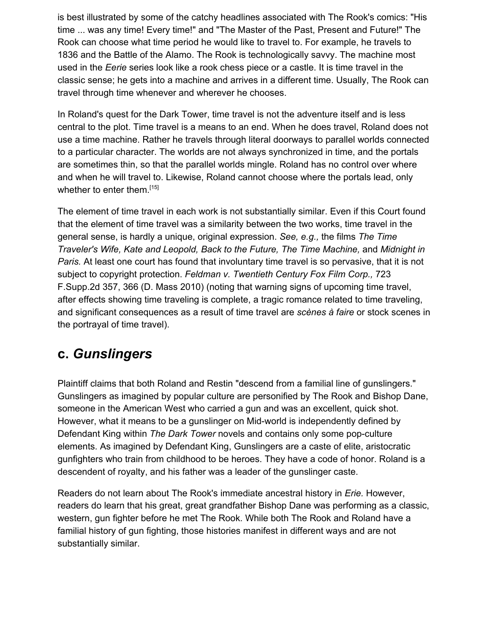is best illustrated by some of the catchy headlines associated with The Rook's comics: "His time ... was any time! Every time!" and "The Master of the Past, Present and Future!" The Rook can choose what time period he would like to travel to. For example, he travels to 1836 and the Battle of the Alamo. The Rook is technologically savvy. The machine most used in the *Eerie* series look like a rook chess piece or a castle. It is time travel in the classic sense; he gets into a machine and arrives in a different time. Usually, The Rook can travel through time whenever and wherever he chooses.

In Roland's quest for the Dark Tower, time travel is not the adventure itself and is less central to the plot. Time travel is a means to an end. When he does travel, Roland does not use a time machine. Rather he travels through literal doorways to parallel worlds connected to a particular character. The worlds are not always synchronized in time, and the portals are sometimes thin, so that the parallel worlds mingle. Roland has no control over where and when he will travel to. Likewise, Roland cannot choose where the portals lead, only whether to enter them.<sup>[15]</sup>

The element of time travel in each work is not substantially similar. Even if this Court found that the element of time travel was a similarity between the two works, time travel in the general sense, is hardly a unique, original expression. *See, e.g.,* the films *The Time Traveler's Wife, Kate and Leopold, Back to the Future, The Time Machine,* and *Midnight in Paris.* At least one court has found that involuntary time travel is so pervasive, that it is not subject to copyright protection. *Feldman v. Twentieth Century Fox Film Corp.,* 723 F.Supp.2d 357, 366 (D. Mass 2010) (noting that warning signs of upcoming time travel, after effects showing time traveling is complete, a tragic romance related to time traveling, and significant consequences as a result of time travel are *scènes à faire* or stock scenes in the portrayal of time travel).

#### **c.** *Gunslingers*

Plaintiff claims that both Roland and Restin "descend from a familial line of gunslingers." Gunslingers as imagined by popular culture are personified by The Rook and Bishop Dane, someone in the American West who carried a gun and was an excellent, quick shot. However, what it means to be a gunslinger on Mid-world is independently defined by Defendant King within *The Dark Tower* novels and contains only some pop-culture elements. As imagined by Defendant King, Gunslingers are a caste of elite, aristocratic gunfighters who train from childhood to be heroes. They have a code of honor. Roland is a descendent of royalty, and his father was a leader of the gunslinger caste.

Readers do not learn about The Rook's immediate ancestral history in *Erie.* However, readers do learn that his great, great grandfather Bishop Dane was performing as a classic, western, gun fighter before he met The Rook. While both The Rook and Roland have a familial history of gun fighting, those histories manifest in different ways and are not substantially similar.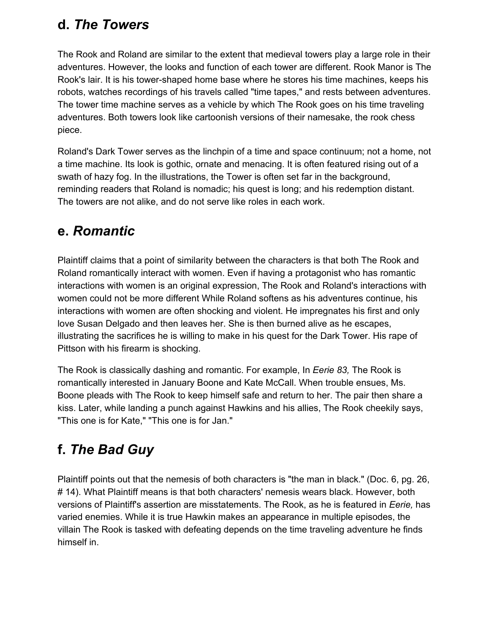#### **d.** *The Towers*

The Rook and Roland are similar to the extent that medieval towers play a large role in their adventures. However, the looks and function of each tower are different. Rook Manor is The Rook's lair. It is his tower-shaped home base where he stores his time machines, keeps his robots, watches recordings of his travels called "time tapes," and rests between adventures. The tower time machine serves as a vehicle by which The Rook goes on his time traveling adventures. Both towers look like cartoonish versions of their namesake, the rook chess piece.

Roland's Dark Tower serves as the linchpin of a time and space continuum; not a home, not a time machine. Its look is gothic, ornate and menacing. It is often featured rising out of a swath of hazy fog. In the illustrations, the Tower is often set far in the background, reminding readers that Roland is nomadic; his quest is long; and his redemption distant. The towers are not alike, and do not serve like roles in each work.

#### **e.** *Romantic*

Plaintiff claims that a point of similarity between the characters is that both The Rook and Roland romantically interact with women. Even if having a protagonist who has romantic interactions with women is an original expression, The Rook and Roland's interactions with women could not be more different While Roland softens as his adventures continue, his interactions with women are often shocking and violent. He impregnates his first and only love Susan Delgado and then leaves her. She is then burned alive as he escapes, illustrating the sacrifices he is willing to make in his quest for the Dark Tower. His rape of Pittson with his firearm is shocking.

The Rook is classically dashing and romantic. For example, In *Eerie 83,* The Rook is romantically interested in January Boone and Kate McCall. When trouble ensues, Ms. Boone pleads with The Rook to keep himself safe and return to her. The pair then share a kiss. Later, while landing a punch against Hawkins and his allies, The Rook cheekily says, "This one is for Kate," "This one is for Jan."

# **f.** *The Bad Guy*

Plaintiff points out that the nemesis of both characters is "the man in black." (Doc. 6, pg. 26, # 14). What Plaintiff means is that both characters' nemesis wears black. However, both versions of Plaintiff's assertion are misstatements. The Rook, as he is featured in *Eerie,* has varied enemies. While it is true Hawkin makes an appearance in multiple episodes, the villain The Rook is tasked with defeating depends on the time traveling adventure he finds himself in.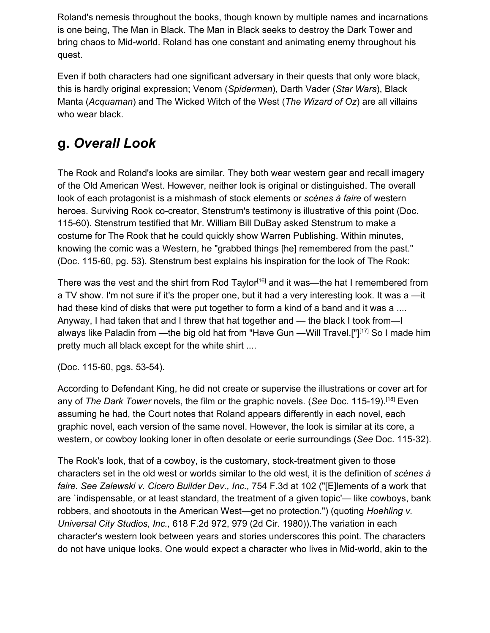Roland's nemesis throughout the books, though known by multiple names and incarnations is one being, The Man in Black. The Man in Black seeks to destroy the Dark Tower and bring chaos to Mid-world. Roland has one constant and animating enemy throughout his quest.

Even if both characters had one significant adversary in their quests that only wore black, this is hardly original expression; Venom (*Spiderman*), Darth Vader (*Star Wars*), Black Manta (*Acquaman*) and The Wicked Witch of the West (*The Wizard of Oz*) are all villains who wear black.

#### **g.** *Overall Look*

The Rook and Roland's looks are similar. They both wear western gear and recall imagery of the Old American West. However, neither look is original or distinguished. The overall look of each protagonist is a mishmash of stock elements or *scènes à faire* of western heroes. Surviving Rook co-creator, Stenstrum's testimony is illustrative of this point (Doc. 115-60). Stenstrum testified that Mr. William Bill DuBay asked Stenstrum to make a costume for The Rook that he could quickly show Warren Publishing. Within minutes, knowing the comic was a Western, he "grabbed things [he] remembered from the past." (Doc. 115-60, pg. 53). Stenstrum best explains his inspiration for the look of The Rook:

There was the vest and the shirt from Rod Taylor<sup>[16]</sup> and it was—the hat I remembered from a TV show. I'm not sure if it's the proper one, but it had a very interesting look. It was a —it had these kind of disks that were put together to form a kind of a band and it was a .... Anyway, I had taken that and I threw that hat together and — the black I took from—I always like Paladin from —the big old hat from "Have Gun —Will Travel.[" $1^{17}$ ] So I made him pretty much all black except for the white shirt ....

(Doc. 115-60, pgs. 53-54).

According to Defendant King, he did not create or supervise the illustrations or cover art for any of *The Dark Tower* novels, the film or the graphic novels. (*See* Doc. 115-19).[18] Even assuming he had, the Court notes that Roland appears differently in each novel, each graphic novel, each version of the same novel. However, the look is similar at its core, a western, or cowboy looking loner in often desolate or eerie surroundings (*See* Doc. 115-32).

The Rook's look, that of a cowboy, is the customary, stock-treatment given to those characters set in the old west or worlds similar to the old west, it is the definition of *scènes à faire. See Zalewski v. Cicero Builder Dev., Inc.,* 754 F.3d at 102 ("[E]lements of a work that are `indispensable, or at least standard, the treatment of a given topic'— like cowboys, bank robbers, and shootouts in the American West—get no protection.") (quoting *Hoehling v. Universal City Studios, Inc.,* 618 F.2d 972, 979 (2d Cir. 1980)).The variation in each character's western look between years and stories underscores this point. The characters do not have unique looks. One would expect a character who lives in Mid-world, akin to the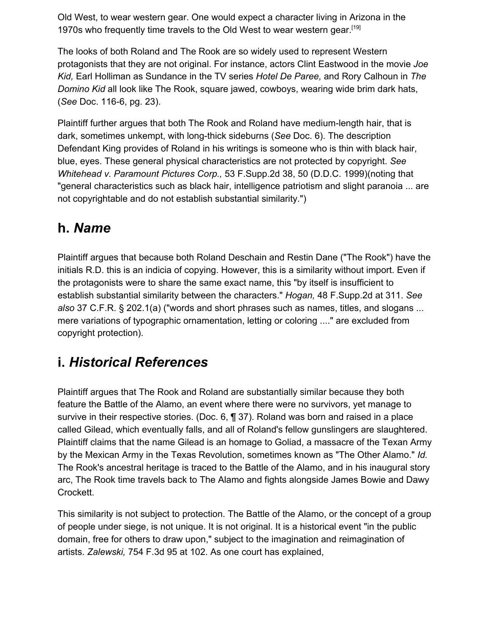Old West, to wear western gear. One would expect a character living in Arizona in the 1970s who frequently time travels to the Old West to wear western gear.<sup>[19]</sup>

The looks of both Roland and The Rook are so widely used to represent Western protagonists that they are not original. For instance, actors Clint Eastwood in the movie *Joe Kid,* Earl Holliman as Sundance in the TV series *Hotel De Paree,* and Rory Calhoun in *The Domino Kid* all look like The Rook, square jawed, cowboys, wearing wide brim dark hats, (*See* Doc. 116-6, pg. 23).

Plaintiff further argues that both The Rook and Roland have medium-length hair, that is dark, sometimes unkempt, with long-thick sideburns (*See* Doc. 6). The description Defendant King provides of Roland in his writings is someone who is thin with black hair, blue, eyes. These general physical characteristics are not protected by copyright. *See Whitehead v. Paramount Pictures Corp.,* 53 F.Supp.2d 38, 50 (D.D.C. 1999)(noting that "general characteristics such as black hair, intelligence patriotism and slight paranoia ... are not copyrightable and do not establish substantial similarity.")

#### **h.** *Name*

Plaintiff argues that because both Roland Deschain and Restin Dane ("The Rook") have the initials R.D. this is an indicia of copying. However, this is a similarity without import. Even if the protagonists were to share the same exact name, this "by itself is insufficient to establish substantial similarity between the characters." *Hogan,* 48 F.Supp.2d at 311. *See also* 37 C.F.R. § 202.1(a) ("words and short phrases such as names, titles, and slogans ... mere variations of typographic ornamentation, letting or coloring ...." are excluded from copyright protection).

#### **i.** *Historical References*

Plaintiff argues that The Rook and Roland are substantially similar because they both feature the Battle of the Alamo, an event where there were no survivors, yet manage to survive in their respective stories. (Doc. 6, ¶ 37). Roland was born and raised in a place called Gilead, which eventually falls, and all of Roland's fellow gunslingers are slaughtered. Plaintiff claims that the name Gilead is an homage to Goliad, a massacre of the Texan Army by the Mexican Army in the Texas Revolution, sometimes known as "The Other Alamo." *Id.* The Rook's ancestral heritage is traced to the Battle of the Alamo, and in his inaugural story arc, The Rook time travels back to The Alamo and fights alongside James Bowie and Dawy Crockett.

This similarity is not subject to protection. The Battle of the Alamo, or the concept of a group of people under siege, is not unique. It is not original. It is a historical event "in the public domain, free for others to draw upon," subject to the imagination and reimagination of artists. *Zalewski,* 754 F.3d 95 at 102. As one court has explained,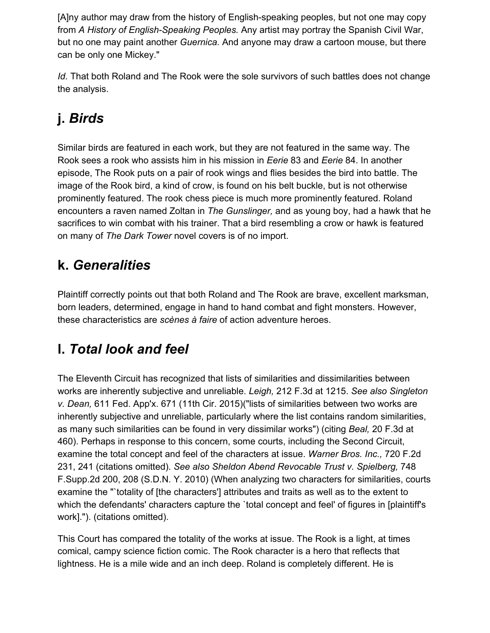[A]ny author may draw from the history of English-speaking peoples, but not one may copy from *A History of English-Speaking Peoples.* Any artist may portray the Spanish Civil War, but no one may paint another *Guernica.* And anyone may draw a cartoon mouse, but there can be only one Mickey."

*Id.* That both Roland and The Rook were the sole survivors of such battles does not change the analysis.

# **j.** *Birds*

Similar birds are featured in each work, but they are not featured in the same way. The Rook sees a rook who assists him in his mission in *Eerie* 83 and *Eerie* 84. In another episode, The Rook puts on a pair of rook wings and flies besides the bird into battle. The image of the Rook bird, a kind of crow, is found on his belt buckle, but is not otherwise prominently featured. The rook chess piece is much more prominently featured. Roland encounters a raven named Zoltan in *The Gunslinger,* and as young boy, had a hawk that he sacrifices to win combat with his trainer. That a bird resembling a crow or hawk is featured on many of *The Dark Tower* novel covers is of no import.

#### **k.** *Generalities*

Plaintiff correctly points out that both Roland and The Rook are brave, excellent marksman, born leaders, determined, engage in hand to hand combat and fight monsters. However, these characteristics are *scènes à faire* of action adventure heroes.

## **l.** *Total look and feel*

The Eleventh Circuit has recognized that lists of similarities and dissimilarities between works are inherently subjective and unreliable. *Leigh,* 212 F.3d at 1215. *See also Singleton v. Dean,* 611 Fed. App'x. 671 (11th Cir. 2015)("lists of similarities between two works are inherently subjective and unreliable, particularly where the list contains random similarities, as many such similarities can be found in very dissimilar works") (citing *Beal,* 20 F.3d at 460). Perhaps in response to this concern, some courts, including the Second Circuit, examine the total concept and feel of the characters at issue. *Warner Bros. Inc.,* 720 F.2d 231, 241 (citations omitted). *See also Sheldon Abend Revocable Trust v. Spielberg,* 748 F.Supp.2d 200, 208 (S.D.N. Y. 2010) (When analyzing two characters for similarities, courts examine the "`totality of [the characters'] attributes and traits as well as to the extent to which the defendants' characters capture the 'total concept and feel' of figures in [plaintiff's work]."). (citations omitted).

This Court has compared the totality of the works at issue. The Rook is a light, at times comical, campy science fiction comic. The Rook character is a hero that reflects that lightness. He is a mile wide and an inch deep. Roland is completely different. He is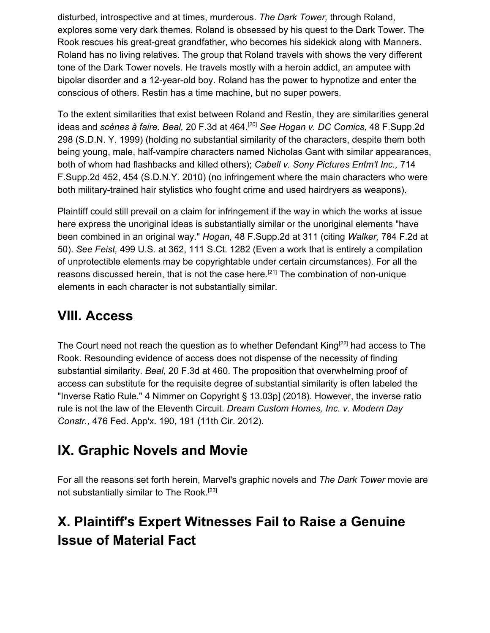disturbed, introspective and at times, murderous. *The Dark Tower,* through Roland, explores some very dark themes. Roland is obsessed by his quest to the Dark Tower. The Rook rescues his great-great grandfather, who becomes his sidekick along with Manners. Roland has no living relatives. The group that Roland travels with shows the very different tone of the Dark Tower novels. He travels mostly with a heroin addict, an amputee with bipolar disorder and a 12-year-old boy. Roland has the power to hypnotize and enter the conscious of others. Restin has a time machine, but no super powers.

To the extent similarities that exist between Roland and Restin, they are similarities general ideas and *scènes à faire. Beal,* 20 F.3d at 464.[20] *See Hogan v. DC Comics,* 48 F.Supp.2d 298 (S.D.N. Y. 1999) (holding no substantial similarity of the characters, despite them both being young, male, half-vampire characters named Nicholas Gant with similar appearances, both of whom had flashbacks and killed others); *Cabell v. Sony Pictures Entm't Inc.,* 714 F.Supp.2d 452, 454 (S.D.N.Y. 2010) (no infringement where the main characters who were both military-trained hair stylistics who fought crime and used hairdryers as weapons).

Plaintiff could still prevail on a claim for infringement if the way in which the works at issue here express the unoriginal ideas is substantially similar or the unoriginal elements "have been combined in an original way." *Hogan,* 48 F.Supp.2d at 311 (citing *Walker,* 784 F.2d at 50). *See Feist,* 499 U.S. at 362, 111 S.Ct. 1282 (Even a work that is entirely a compilation of unprotectible elements may be copyrightable under certain circumstances). For all the reasons discussed herein, that is not the case here.<sup>[21]</sup> The combination of non-unique elements in each character is not substantially similar.

#### **VIII. Access**

The Court need not reach the question as to whether Defendant King<sup>[22]</sup> had access to The Rook. Resounding evidence of access does not dispense of the necessity of finding substantial similarity. *Beal,* 20 F.3d at 460. The proposition that overwhelming proof of access can substitute for the requisite degree of substantial similarity is often labeled the "Inverse Ratio Rule." 4 Nimmer on Copyright § 13.03p] (2018). However, the inverse ratio rule is not the law of the Eleventh Circuit. *Dream Custom Homes, Inc. v. Modern Day Constr.,* 476 Fed. App'x. 190, 191 (11th Cir. 2012).

#### **IX. Graphic Novels and Movie**

For all the reasons set forth herein, Marvel's graphic novels and *The Dark Tower* movie are not substantially similar to The Rook.<sup>[23]</sup>

## **X. Plaintiff's Expert Witnesses Fail to Raise a Genuine Issue of Material Fact**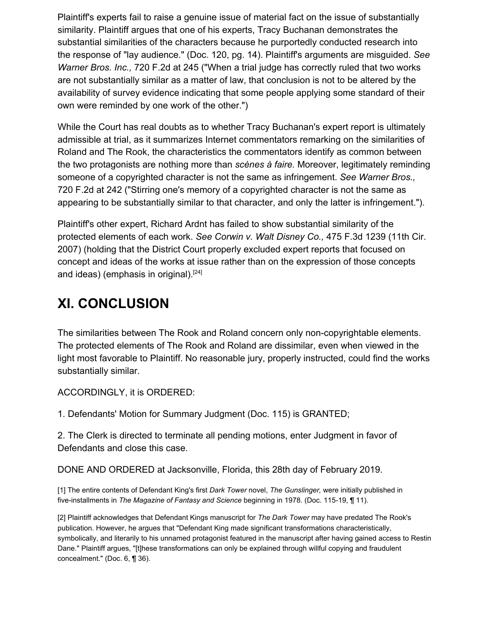Plaintiff's experts fail to raise a genuine issue of material fact on the issue of substantially similarity. Plaintiff argues that one of his experts, Tracy Buchanan demonstrates the substantial similarities of the characters because he purportedly conducted research into the response of "lay audience." (Doc. 120, pg. 14). Plaintiff's arguments are misguided. *See Warner Bros. Inc.,* 720 F.2d at 245 ("When a trial judge has correctly ruled that two works are not substantially similar as a matter of law, that conclusion is not to be altered by the availability of survey evidence indicating that some people applying some standard of their own were reminded by one work of the other.")

While the Court has real doubts as to whether Tracy Buchanan's expert report is ultimately admissible at trial, as it summarizes Internet commentators remarking on the similarities of Roland and The Rook, the characteristics the commentators identify as common between the two protagonists are nothing more than *scènes à faire.* Moreover, legitimately reminding someone of a copyrighted character is not the same as infringement. *See Warner Bros.,* 720 F.2d at 242 ("Stirring one's memory of a copyrighted character is not the same as appearing to be substantially similar to that character, and only the latter is infringement.").

Plaintiff's other expert, Richard Ardnt has failed to show substantial similarity of the protected elements of each work. *See Corwin v. Walt Disney Co.,* 475 F.3d 1239 (11th Cir. 2007) (holding that the District Court properly excluded expert reports that focused on concept and ideas of the works at issue rather than on the expression of those concepts and ideas) (emphasis in original).<sup>[24]</sup>

#### **XI. CONCLUSION**

The similarities between The Rook and Roland concern only non-copyrightable elements. The protected elements of The Rook and Roland are dissimilar, even when viewed in the light most favorable to Plaintiff. No reasonable jury, properly instructed, could find the works substantially similar.

ACCORDINGLY, it is ORDERED:

1. Defendants' Motion for Summary Judgment (Doc. 115) is GRANTED;

2. The Clerk is directed to terminate all pending motions, enter Judgment in favor of Defendants and close this case.

DONE AND ORDERED at Jacksonville, Florida, this 28th day of February 2019.

[1] The entire contents of Defendant King's first *Dark Tower* novel, *The Gunslinger,* were initially published in five-installments in *The Magazine of Fantasy and Science* beginning in 1978. (Doc. 115-19, ¶ 11).

[2] Plaintiff acknowledges that Defendant Kings manuscript for *The Dark Tower* may have predated The Rook's publication. However, he argues that "Defendant King made significant transformations characteristically, symbolically, and literarily to his unnamed protagonist featured in the manuscript after having gained access to Restin Dane." Plaintiff argues, "[t]hese transformations can only be explained through willful copying and fraudulent concealment." (Doc. 6, ¶ 36).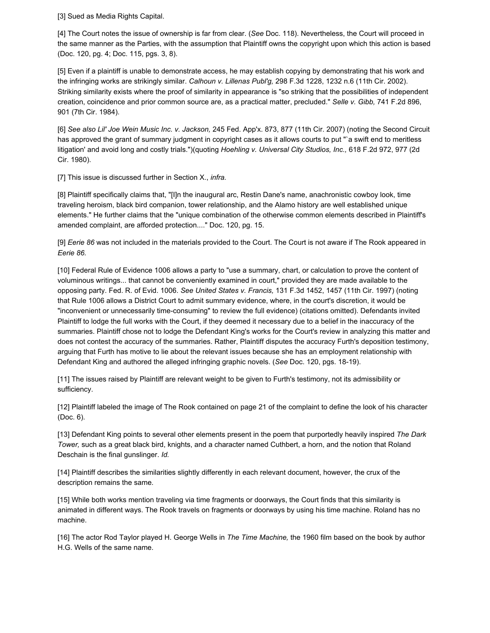[3] Sued as Media Rights Capital.

[4] The Court notes the issue of ownership is far from clear. (*See* Doc. 118). Nevertheless, the Court will proceed in the same manner as the Parties, with the assumption that Plaintiff owns the copyright upon which this action is based (Doc. 120, pg. 4; Doc. 115, pgs. 3, 8).

[5] Even if a plaintiff is unable to demonstrate access, he may establish copying by demonstrating that his work and the infringing works are strikingly similar. *Calhoun v. Lillenas Publ'g,* 298 F.3d 1228, 1232 n.6 (11th Cir. 2002). Striking similarity exists where the proof of similarity in appearance is "so striking that the possibilities of independent creation, coincidence and prior common source are, as a practical matter, precluded." *Selle v. Gibb,* 741 F.2d 896, 901 (7th Cir. 1984).

[6] *See also Lil' Joe Wein Music Inc. v. Jackson,* 245 Fed. App'x. 873, 877 (11th Cir. 2007) (noting the Second Circuit has approved the grant of summary judgment in copyright cases as it allows courts to put "`a swift end to meritless litigation' and avoid long and costly trials.")(quoting *Hoehling v. Universal City Studios, Inc.,* 618 F.2d 972, 977 (2d Cir. 1980).

[7] This issue is discussed further in Section X., *infra.*

[8] Plaintiff specifically claims that, "[I]n the inaugural arc, Restin Dane's name, anachronistic cowboy look, time traveling heroism, black bird companion, tower relationship, and the Alamo history are well established unique elements." He further claims that the "unique combination of the otherwise common elements described in Plaintiff's amended complaint, are afforded protection...." Doc. 120, pg. 15.

[9] *Eerie 86* was not included in the materials provided to the Court. The Court is not aware if The Rook appeared in *Eerie 86.*

[10] Federal Rule of Evidence 1006 allows a party to "use a summary, chart, or calculation to prove the content of voluminous writings... that cannot be conveniently examined in court," provided they are made available to the opposing party. Fed. R. of Evid. 1006. *See United States v. Francis,* 131 F.3d 1452, 1457 (11th Cir. 1997) (noting that Rule 1006 allows a District Court to admit summary evidence, where, in the court's discretion, it would be "inconvenient or unnecessarily time-consuming" to review the full evidence) (citations omitted). Defendants invited Plaintiff to lodge the full works with the Court, if they deemed it necessary due to a belief in the inaccuracy of the summaries. Plaintiff chose not to lodge the Defendant King's works for the Court's review in analyzing this matter and does not contest the accuracy of the summaries. Rather, Plaintiff disputes the accuracy Furth's deposition testimony, arguing that Furth has motive to lie about the relevant issues because she has an employment relationship with Defendant King and authored the alleged infringing graphic novels. (*See* Doc. 120, pgs. 18-19).

[11] The issues raised by Plaintiff are relevant weight to be given to Furth's testimony, not its admissibility or sufficiency.

[12] Plaintiff labeled the image of The Rook contained on page 21 of the complaint to define the look of his character (Doc. 6).

[13] Defendant King points to several other elements present in the poem that purportedly heavily inspired *The Dark Tower,* such as a great black bird, knights, and a character named Cuthbert, a horn, and the notion that Roland Deschain is the final gunslinger. *Id.*

[14] Plaintiff describes the similarities slightly differently in each relevant document, however, the crux of the description remains the same.

[15] While both works mention traveling via time fragments or doorways, the Court finds that this similarity is animated in different ways. The Rook travels on fragments or doorways by using his time machine. Roland has no machine.

[16] The actor Rod Taylor played H. George Wells in *The Time Machine,* the 1960 film based on the book by author H.G. Wells of the same name.